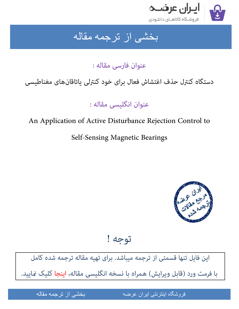

# بخشی از ترجمه مقاله

عنوان فارسی مقاله :

دستگاه کنترل حذف اغتشاش فعال برای خود کنترلی یاتاقانهای مغناطیسی

عنوان انگلیسی مقاله :

## An Application of Active Disturbance Rejection Control to

Self-Sensing Magnetic Bearings



توجه !

این فایل تنها قسمتی از ترجمه میباشد. برای تهیه مقاله ترجمه شده کامل با فرمت ورد (قابل ویرایش) همراه با نسخه انگلیسی مقاله، ا**ینجا** کلیک <sup>ن</sup>ایید.

فروشگاه اينترنتی ايران عرضه بخشی از ترجمه مقاله